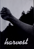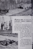At first an idea, then untried reality, CIVILIAN PUBLIC SERVICE this year bore fruit.

At Buck Creek, North Carolina, for example, one could see certain things happening at the Friends' administered camp. A park took shape along the Blue Ridge Parkway. Forest an fires were fought, and fire prevention work

> was done. The nearby community, as well as the Camp, benefited from the abilities of the men. Some men went out on specialized jobs on other projects.

—

 $\mu$ wii

 $in$ 

Some things became sure but there was in many minds <sup>a</sup> wondering and hoping — that there might be a greater harvest, if certain limitations could be removed . . .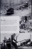The road through Crabtree Park began with <sup>a</sup> rough clearing through the woods now it is a half-mile-long strip of gravel curving gracefully through the woodland.

**Experience** of the second state of the second

There is much more road to be built, but what is now finished symbolizes the long hours and hard work it takes for men with tools and machines to shape anything out of the earth.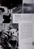Forest fire! A forest fire is a smoking, cracking, rushing force that leaves an inevitable gray waste of burnt underbrush and blackened trees, the air filled with a sterile odor of after burning.



In fighting raging forest fires, and in working to prevent them, men at Buck Creek found the joyful feeling of doing an important job for their country. Pictures can not show the roar of burning rhododendron, the cramp of muscles after a strenuous climb with the rake crew, or the beautiful sad light of burning snags at night.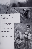

To the community and the camp went some of the harvest in services given individually and in small groups.

Food was grown for camp use.

A traveling library has served the mountain people in the near vicinity.

A singing concert put <sup>a</sup> new roof on a church in a nearby mountain resort community.

Men from the Camp were attendants at a three-day tonsil clinic for children of a nearby town.



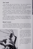## Part minds

On a June day, some men left Buck Creek. They found in Eastern State Hospital, at Williamsburg, Virginia, new tasks—trying and tragic.

For twelve hours, day or night, each man attended to the needs of <sup>a</sup> hundred or so mental patients. He talked with the dejected. He cleansed the filthy. He restrained the violent. He treated the sick and the bruised.

Kindness, patience, self-control, determination, proved the qualities of effective mental nursing. No man relied upon physical violence in handling his patients. Not all escaped personal injury. Yet they felt more security in a word of calm authority, in a firm but gentle grasp, than in a weapon of self-defense.

Often the desperate condition of human minds and the seeming hopelessness of cure brings a gnawing sense of futility in the service rendered. Even from the barren soil, however, a harvest comes of diminished suffering, and recovered capacity for normal life.

## Special services

Two men transferred to Cheltenham School, <sup>a</sup> training school for delinquent Negro boys near Baltimore, Maryland. They, too, are testing daily the effec tiveness of their way of life as they seek to control vicious impulses and develop qualities of responsibility and mutual consideration among this under-privileged



group.

Five men with scientific train ing left camp to do special re search work at the Patuxent Research Refuge near Bowie, Maryland, the only national wildlife experiment station in this country.

Some of the men found such satisfaction in fire fighting that they went to <sup>a</sup> camp which was set up for that purpose near Lake Tahoe, California.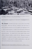

This pamphlet was adapted from a hook of original photographs and copy prepared hy James Fox, who is a member of CPS Camp No. 19, Buck Creek, North Carolina.

The harvest at the Buck Creek Camp is typical of other Civilian Public Service projects. More than 5,500 men, classified by their draft boards as sincere conscientious objectors to war, were engaged at the beginning of  $1943$ in "work of national importance" as approved under the Selective Training and Service Act. About 5,000 of these were in camps occupied in forestry and soil conservation projects. Five hundred were in other essential civilian services which are inadequately staffed as a result of the war. Openings are increasing for qualified men interested in serving in mental and general hospitals, in reformatories, as "guinea pigs" for medical experimentation, as dairy herd testers, and in training for postwar reconstruction abroad.